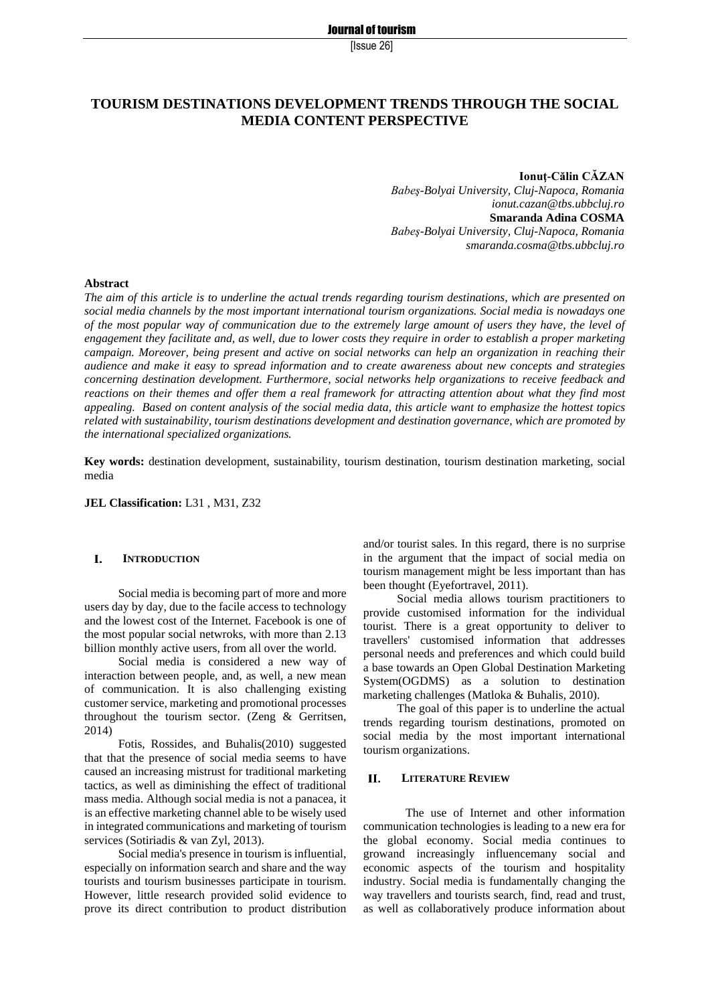[Issue 26]

# **TOURISM DESTINATIONS DEVELOPMENT TRENDS THROUGH THE SOCIAL MEDIA CONTENT PERSPECTIVE**

**Ionuţ-Călin CĂZAN**  *Babeş-Bolyai University, Cluj-Napoca, Romania ionut.cazan@tbs.ubbcluj.ro* **Smaranda Adina COSMA**  *Babeş-Bolyai University, Cluj-Napoca, Romania smaranda.cosma@tbs.ubbcluj.ro*

### **Abstract**

*The aim of this article is to underline the actual trends regarding tourism destinations, which are presented on social media channels by the most important international tourism organizations. Social media is nowadays one of the most popular way of communication due to the extremely large amount of users they have, the level of engagement they facilitate and, as well, due to lower costs they require in order to establish a proper marketing campaign. Moreover, being present and active on social networks can help an organization in reaching their audience and make it easy to spread information and to create awareness about new concepts and strategies concerning destination development. Furthermore, social networks help organizations to receive feedback and reactions on their themes and offer them a real framework for attracting attention about what they find most appealing. Based on content analysis of the social media data, this article want to emphasize the hottest topics related with sustainability, tourism destinations development and destination governance, which are promoted by the international specialized organizations.*

**Key words:** destination development, sustainability, tourism destination, tourism destination marketing, social media

**JEL Classification:** L31 , M31, Z32

### $\mathbf{L}$ **INTRODUCTION**

Social media is becoming part of more and more users day by day, due to the facile access to technology and the lowest cost of the Internet. Facebook is one of the most popular social netwroks, with more than 2.13 billion monthly active users, from all over the world.

Social media is considered a new way of interaction between people, and, as well, a new mean of communication. It is also challenging existing customer service, marketing and promotional processes throughout the tourism sector. (Zeng & Gerritsen, 2014)

Fotis, Rossides, and Buhalis(2010) suggested that that the presence of social media seems to have caused an increasing mistrust for traditional marketing tactics, as well as diminishing the effect of traditional mass media. Although social media is not a panacea, it is an effective marketing channel able to be wisely used in integrated communications and marketing of tourism services (Sotiriadis & van Zyl, 2013).

Social media's presence in tourism is influential, especially on information search and share and the way tourists and tourism businesses participate in tourism. However, little research provided solid evidence to prove its direct contribution to product distribution and/or tourist sales. In this regard, there is no surprise in the argument that the impact of social media on tourism management might be less important than has been thought (Eyefortravel, 2011).

Social media allows tourism practitioners to provide customised information for the individual tourist. There is a great opportunity to deliver to travellers' customised information that addresses personal needs and preferences and which could build a base towards an Open Global Destination Marketing System(OGDMS) as a solution to destination marketing challenges (Matloka & Buhalis, 2010).

The goal of this paper is to underline the actual trends regarding tourism destinations, promoted on social media by the most important international tourism organizations.

### $\mathbf{H}$ **LITERATURE REVIEW**

The use of Internet and other information communication technologies is leading to a new era for the global economy. Social media continues to growand increasingly influencemany social and economic aspects of the tourism and hospitality industry. Social media is fundamentally changing the way travellers and tourists search, find, read and trust, as well as collaboratively produce information about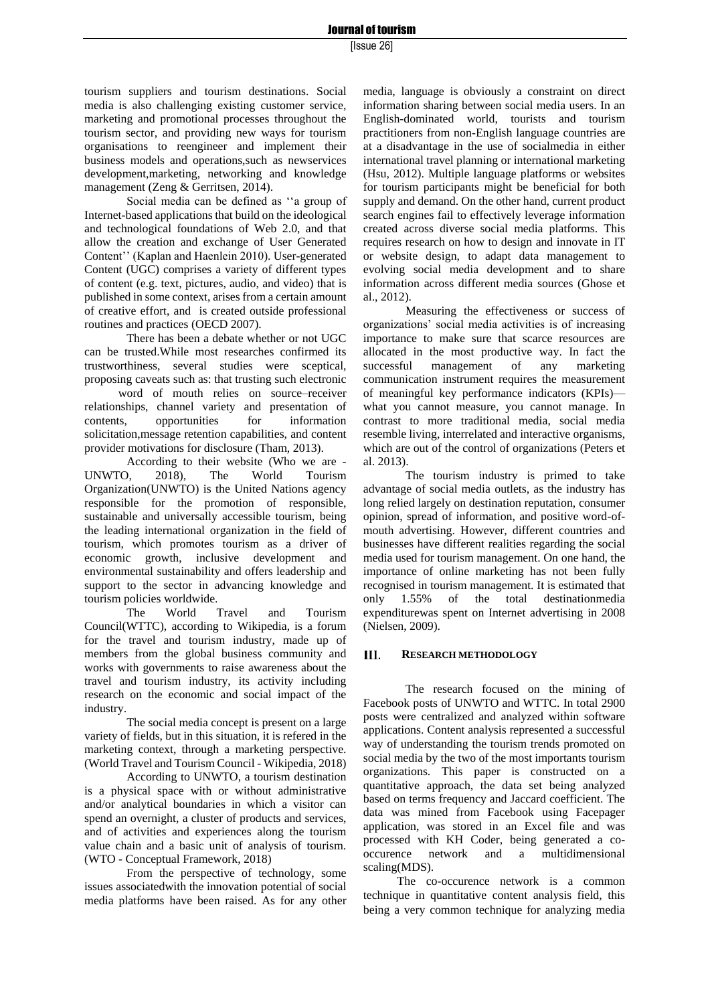### Journal of tourism

tourism suppliers and tourism destinations. Social media is also challenging existing customer service, marketing and promotional processes throughout the tourism sector, and providing new ways for tourism organisations to reengineer and implement their business models and operations,such as newservices development,marketing, networking and knowledge management (Zeng & Gerritsen, 2014).

Social media can be defined as ''a group of Internet-based applications that build on the ideological and technological foundations of Web 2.0, and that allow the creation and exchange of User Generated Content'' (Kaplan and Haenlein 2010). User-generated Content (UGC) comprises a variety of different types of content (e.g. text, pictures, audio, and video) that is published in some context, arises from a certain amount of creative effort, and is created outside professional routines and practices (OECD 2007).

There has been a debate whether or not UGC can be trusted.While most researches confirmed its trustworthiness, several studies were sceptical, proposing caveats such as: that trusting such electronic word of mouth relies on source–receiver relationships, channel variety and presentation of contents, opportunities for information solicitation,message retention capabilities, and content provider motivations for disclosure (Tham, 2013).

According to their website (Who we are - UNWTO, 2018), The World Tourism Organization(UNWTO) is the United Nations agency responsible for the promotion of responsible, sustainable and universally accessible tourism, being the leading international organization in the field of tourism, which promotes tourism as a driver of economic growth, inclusive development and environmental sustainability and offers leadership and support to the sector in advancing knowledge and tourism policies worldwide.

The World Travel and Tourism Council(WTTC), according to Wikipedia, is a forum for the travel and tourism industry, made up of members from the global business community and works with governments to raise awareness about the travel and tourism industry, its activity including research on the economic and social impact of the industry.

The social media concept is present on a large variety of fields, but in this situation, it is refered in the marketing context, through a marketing perspective. (World Travel and Tourism Council - Wikipedia, 2018)

According to UNWTO, a tourism destination is a physical space with or without administrative and/or analytical boundaries in which a visitor can spend an overnight, a cluster of products and services, and of activities and experiences along the tourism value chain and a basic unit of analysis of tourism. (WTO - Conceptual Framework, 2018)

From the perspective of technology, some issues associatedwith the innovation potential of social media platforms have been raised. As for any other media, language is obviously a constraint on direct information sharing between social media users. In an English-dominated world, tourists and tourism practitioners from non-English language countries are at a disadvantage in the use of socialmedia in either international travel planning or international marketing (Hsu, 2012). Multiple language platforms or websites for tourism participants might be beneficial for both supply and demand. On the other hand, current product search engines fail to effectively leverage information created across diverse social media platforms. This requires research on how to design and innovate in IT or website design, to adapt data management to evolving social media development and to share information across different media sources (Ghose et al., 2012).

Measuring the effectiveness or success of organizations' social media activities is of increasing importance to make sure that scarce resources are allocated in the most productive way. In fact the successful management of any marketing communication instrument requires the measurement of meaningful key performance indicators (KPIs) what you cannot measure, you cannot manage. In contrast to more traditional media, social media resemble living, interrelated and interactive organisms, which are out of the control of organizations (Peters et al. 2013).

The tourism industry is primed to take advantage of social media outlets, as the industry has long relied largely on destination reputation, consumer opinion, spread of information, and positive word-ofmouth advertising. However, different countries and businesses have different realities regarding the social media used for tourism management. On one hand, the importance of online marketing has not been fully recognised in tourism management. It is estimated that only 1.55% of the total destinationmedia expenditurewas spent on Internet advertising in 2008 (Nielsen, 2009).

### III. **RESEARCH METHODOLOGY**

The research focused on the mining of Facebook posts of UNWTO and WTTC. In total 2900 posts were centralized and analyzed within software applications. Content analysis represented a successful way of understanding the tourism trends promoted on social media by the two of the most importants tourism organizations. This paper is constructed on a quantitative approach, the data set being analyzed based on terms frequency and Jaccard coefficient. The data was mined from Facebook using Facepager application, was stored in an Excel file and was processed with KH Coder, being generated a cooccurence network and a multidimensional scaling(MDS).

The co-occurence network is a common technique in quantitative content analysis field, this being a very common technique for analyzing media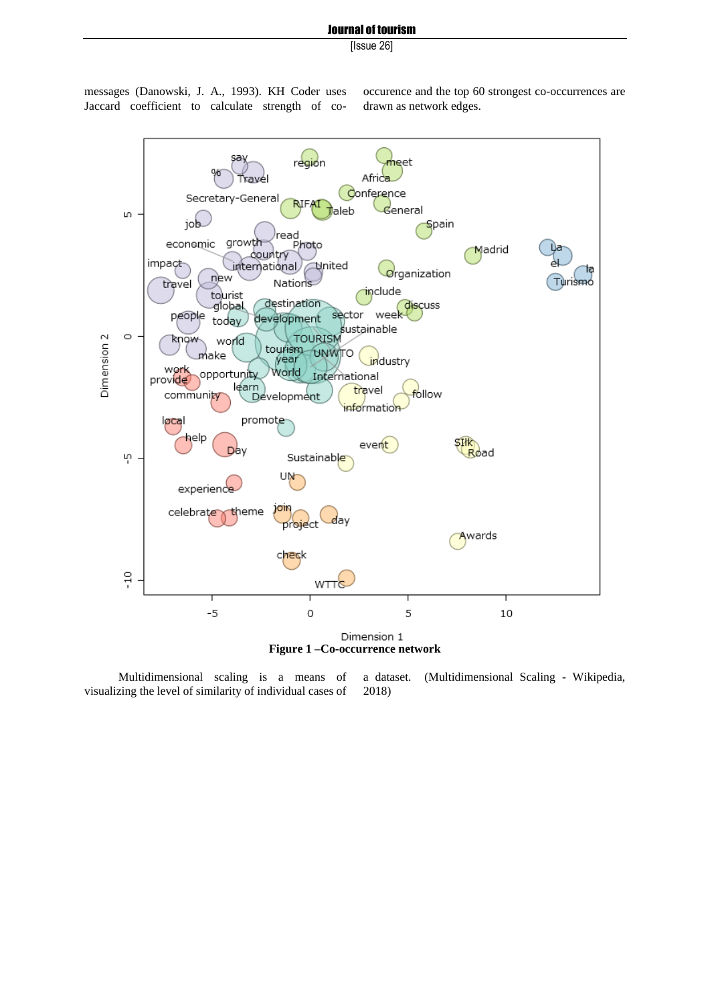## Journal of tourism

[Issue 26]

messages (Danowski, J. A., 1993). KH Coder uses Jaccard coefficient to calculate strength of cooccurence and the top 60 strongest co-occurrences are drawn as network edges.



Multidimensional scaling is a means of visualizing the level of similarity of individual cases of a dataset. (Multidimensional Scaling - Wikipedia, 2018)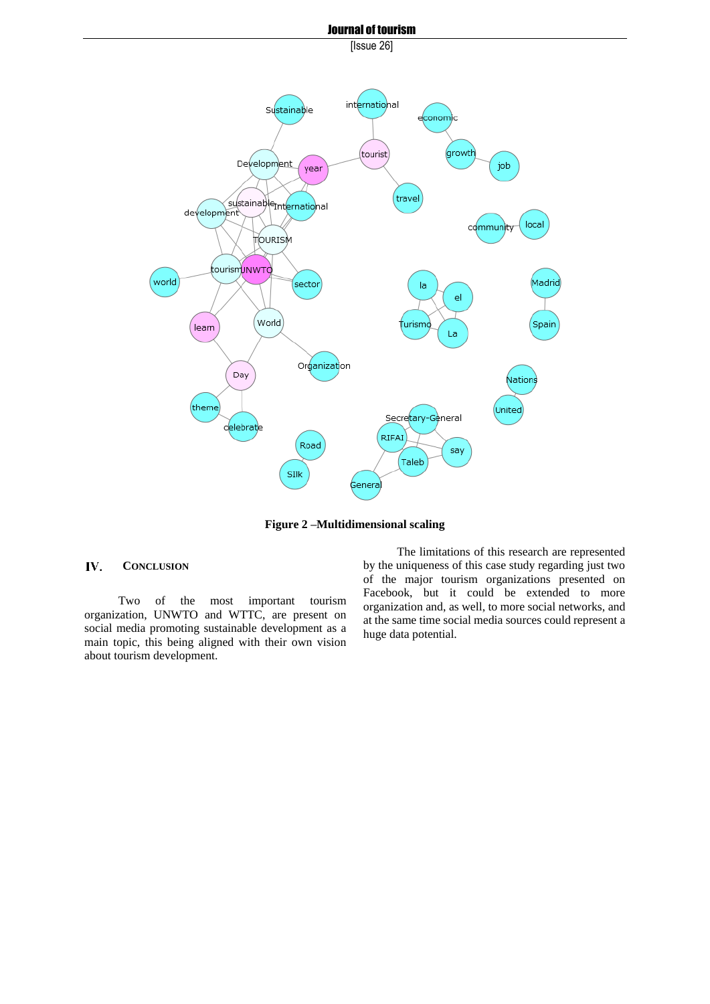

**Figure 2 –Multidimensional scaling**

### IV. **CONCLUSION**

Two of the most important tourism organization, UNWTO and WTTC, are present on social media promoting sustainable development as a main topic, this being aligned with their own vision about tourism development.

The limitations of this research are represented by the uniqueness of this case study regarding just two of the major tourism organizations presented on Facebook, but it could be extended to more organization and, as well, to more social networks, and at the same time social media sources could represent a huge data potential.